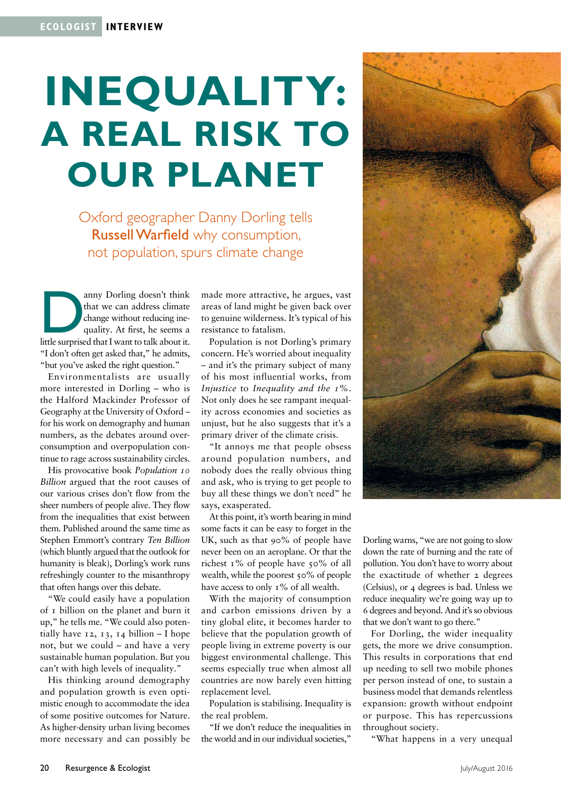## **Inequality: A REAL RISK TO OUR planet**

Oxford geographer Danny Dorling tells Russell Warfield why consumption, not population, spurs climate change

anny Dorling doesn't think<br>that we can address climate<br>change without reducing ine-<br>quality. At first, he seems a<br>little surprised that I want to talk about it. that we can address climate change without reducing inequality. At first, he seems a "I don't often get asked that," he admits, "but you've asked the right question."

Environmentalists are usually more interested in Dorling – who is the Halford Mackinder Professor of Geography at the University of Oxford – for his work on demography and human numbers, as the debates around overconsumption and overpopulation continue to rage across sustainability circles.

His provocative book *Population 10 Billion* argued that the root causes of our various crises don't flow from the sheer numbers of people alive. They flow from the inequalities that exist between them. Published around the same time as Stephen Emmott's contrary *Ten Billion* (which bluntly argued that the outlook for humanity is bleak), Dorling's work runs refreshingly counter to the misanthropy that often hangs over this debate.

"We could easily have a population of 1 billion on the planet and burn it up," he tells me. "We could also potentially have  $12$ ,  $13$ ,  $14$  billion – I hope not, but we could – and have a very sustainable human population. But you can't with high levels of inequality."

His thinking around demography and population growth is even optimistic enough to accommodate the idea of some positive outcomes for Nature. As higher-density urban living becomes more necessary and can possibly be made more attractive, he argues, vast areas of land might be given back over to genuine wilderness. It's typical of his resistance to fatalism.

Population is not Dorling's primary concern. He's worried about inequality – and it's the primary subject of many of his most influential works, from *Injustice* to *Inequality and the 1%*. Not only does he see rampant inequality across economies and societies as unjust, but he also suggests that it's a primary driver of the climate crisis.

"It annoys me that people obsess around population numbers, and nobody does the really obvious thing and ask, who is trying to get people to buy all these things we don't need" he says, exasperated.

At this point, it's worth bearing in mind some facts it can be easy to forget in the UK, such as that 90% of people have never been on an aeroplane. Or that the richest 1% of people have 50% of all wealth, while the poorest 50% of people have access to only 1% of all wealth.

With the majority of consumption and carbon emissions driven by a tiny global elite, it becomes harder to believe that the population growth of people living in extreme poverty is our biggest environmental challenge. This seems especially true when almost all countries are now barely even hitting replacement level.

Population is stabilising. Inequality is the real problem.

"If we don't reduce the inequalities in the world and in our individual societies," Dorling warns, "we are not going to slow down the rate of burning and the rate of pollution. You don't have to worry about the exactitude of whether 2 degrees (Celsius), or 4 degrees is bad. Unless we reduce inequality we're going way up to 6 degrees and beyond. And it's so obvious that we don't want to go there."

For Dorling, the wider inequality gets, the more we drive consumption. This results in corporations that end up needing to sell two mobile phones per person instead of one, to sustain a business model that demands relentless expansion: growth without endpoint or purpose. This has repercussions throughout society.

"What happens in a very unequal

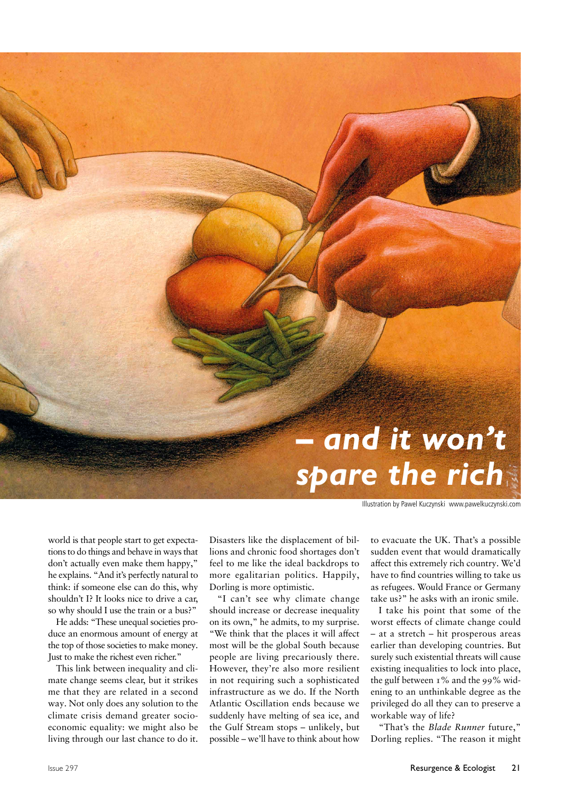

Illustration by Pawel Kuczynski www.pawelkuczynski.com

world is that people start to get expectations to do things and behave in ways that don't actually even make them happy," he explains. "And it's perfectly natural to think: if someone else can do this, why shouldn't I? It looks nice to drive a car, so why should I use the train or a bus?"

He adds: "These unequal societies produce an enormous amount of energy at the top of those societies to make money. Just to make the richest even richer."

This link between inequality and climate change seems clear, but it strikes me that they are related in a second way. Not only does any solution to the climate crisis demand greater socioeconomic equality: we might also be living through our last chance to do it.

Disasters like the displacement of billions and chronic food shortages don't feel to me like the ideal backdrops to more egalitarian politics. Happily, Dorling is more optimistic.

"I can't see why climate change should increase or decrease inequality on its own," he admits, to my surprise. "We think that the places it will affect most will be the global South because people are living precariously there. However, they're also more resilient in not requiring such a sophisticated infrastructure as we do. If the North Atlantic Oscillation ends because we suddenly have melting of sea ice, and the Gulf Stream stops – unlikely, but possible – we'll have to think about how to evacuate the UK. That's a possible sudden event that would dramatically affect this extremely rich country. We'd have to find countries willing to take us as refugees. Would France or Germany take us?" he asks with an ironic smile.

I take his point that some of the worst effects of climate change could – at a stretch – hit prosperous areas earlier than developing countries. But surely such existential threats will cause existing inequalities to lock into place, the gulf between 1% and the 99% widening to an unthinkable degree as the privileged do all they can to preserve a workable way of life?

"That's the *Blade Runner* future," Dorling replies. "The reason it might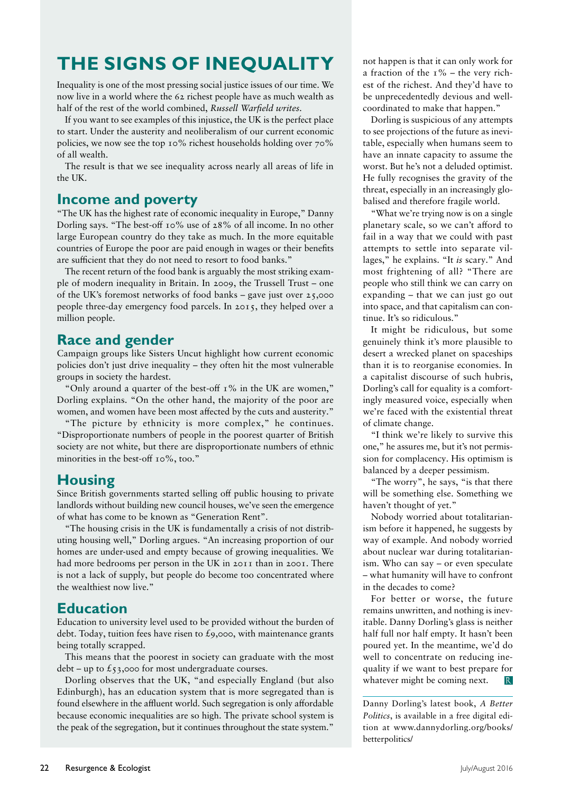### **The signs of inequality**

Inequality is one of the most pressing social justice issues of our time. We now live in a world where the 62 richest people have as much wealth as half of the rest of the world combined, *Russell Warfield writes.*

If you want to see examples of this injustice, the UK is the perfect place to start. Under the austerity and neoliberalism of our current economic policies, we now see the top 10% richest households holding over 70% of all wealth.

The result is that we see inequality across nearly all areas of life in the UK.

#### **Income and poverty**

"The UK has the highest rate of economic inequality in Europe," Danny Dorling says. "The best-off 10% use of 28% of all income. In no other large European country do they take as much. In the more equitable countries of Europe the poor are paid enough in wages or their benefits are sufficient that they do not need to resort to food banks."

The recent return of the food bank is arguably the most striking example of modern inequality in Britain. In 2009, the Trussell Trust – one of the UK's foremost networks of food banks – gave just over 25,000 people three-day emergency food parcels. In 2015, they helped over a million people.

#### **Race and gender**

Campaign groups like Sisters Uncut highlight how current economic policies don't just drive inequality – they often hit the most vulnerable groups in society the hardest.

"Only around a quarter of the best-off 1% in the UK are women," Dorling explains. "On the other hand, the majority of the poor are women, and women have been most affected by the cuts and austerity."

"The picture by ethnicity is more complex," he continues. "Disproportionate numbers of people in the poorest quarter of British society are not white, but there are disproportionate numbers of ethnic minorities in the best-off 10%, too."

#### **Housing**

Since British governments started selling off public housing to private landlords without building new council houses, we've seen the emergence of what has come to be known as "Generation Rent".

"The housing crisis in the UK is fundamentally a crisis of not distributing housing well," Dorling argues. "An increasing proportion of our homes are under-used and empty because of growing inequalities. We had more bedrooms per person in the UK in 2011 than in 2001. There is not a lack of supply, but people do become too concentrated where the wealthiest now live."

#### **Education**

Education to university level used to be provided without the burden of debt. Today, tuition fees have risen to  $\mathcal{L}_9$ ,000, with maintenance grants being totally scrapped.

This means that the poorest in society can graduate with the most debt – up to  $\xi$ 53,000 for most undergraduate courses.

Dorling observes that the UK, "and especially England (but also Edinburgh), has an education system that is more segregated than is found elsewhere in the affluent world. Such segregation is only affordable because economic inequalities are so high. The private school system is the peak of the segregation, but it continues throughout the state system."

not happen is that it can only work for a fraction of the  $1\%$  – the very richest of the richest. And they'd have to be unprecedentedly devious and wellcoordinated to make that happen."

Dorling is suspicious of any attempts to see projections of the future as inevitable, especially when humans seem to have an innate capacity to assume the worst. But he's not a deluded optimist. He fully recognises the gravity of the threat, especially in an increasingly globalised and therefore fragile world.

"What we're trying now is on a single planetary scale, so we can't afford to fail in a way that we could with past attempts to settle into separate villages," he explains. "It *is* scary." And most frightening of all? "There are people who still think we can carry on expanding – that we can just go out into space, and that capitalism can continue. It's so ridiculous."

It might be ridiculous, but some genuinely think it's more plausible to desert a wrecked planet on spaceships than it is to reorganise economies. In a capitalist discourse of such hubris, Dorling's call for equality is a comfortingly measured voice, especially when we're faced with the existential threat of climate change.

"I think we're likely to survive this one," he assures me, but it's not permission for complacency. His optimism is balanced by a deeper pessimism.

"The worry", he says, "is that there will be something else. Something we haven't thought of yet."

Nobody worried about totalitarianism before it happened, he suggests by way of example. And nobody worried about nuclear war during totalitarianism. Who can say – or even speculate – what humanity will have to confront in the decades to come?

For better or worse, the future remains unwritten, and nothing is inevitable. Danny Dorling's glass is neither half full nor half empty. It hasn't been poured yet. In the meantime, we'd do well to concentrate on reducing inequality if we want to best prepare for whatever might be coming next. R.

Danny Dorling's latest book, *A Better Politics*, is available in a free digital edition at www.dannydorling.org/books/ betterpolitics/